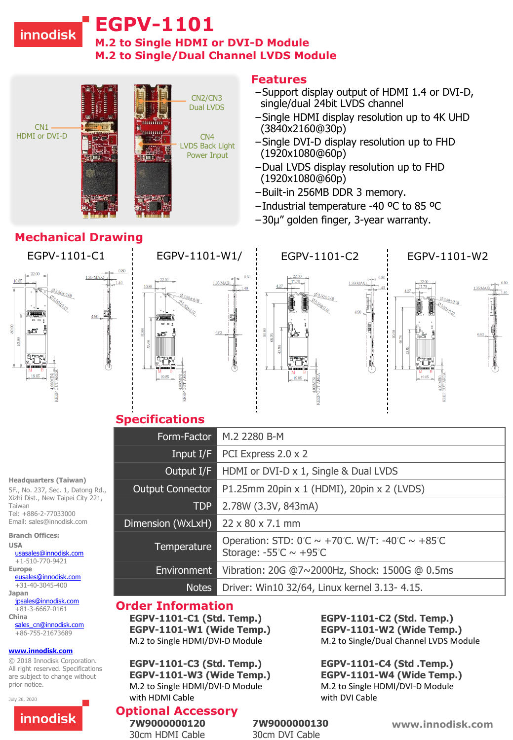## **innodisk**

# **EGPV-1101**

**M.2 to Single HDMI or DVI-D Module M.2 to Single/Dual Channel LVDS Module**



i.40

# **Mechanical Drawing**





#### **Features**

- −Support display output of HDMI 1.4 or DVI-D, single/dual 24bit LVDS channel
- −Single HDMI display resolution up to 4K UHD (3840x2160@30p)
- −Single DVI-D display resolution up to FHD (1920x1080@60p)
- −Dual LVDS display resolution up to FHD (1920x1080@60p)
- −Built-in 256MB DDR 3 memory.
- −Industrial temperature -40 ºC to 85 ºC
- −30µ" golden finger, 3-year warranty.



## **Specifications**

| Form-Factor             | M.2 2280 B-M                                                                                                                                 |
|-------------------------|----------------------------------------------------------------------------------------------------------------------------------------------|
| Input $I/F$             | PCI Express 2.0 x 2                                                                                                                          |
| Output I/F              | HDMI or DVI-D x 1, Single & Dual LVDS                                                                                                        |
| <b>Output Connector</b> | P1.25mm 20pin x 1 (HDMI), 20pin x 2 (LVDS)                                                                                                   |
| <b>TDP</b>              | 2.78W (3.3V, 843mA)                                                                                                                          |
| Dimension (WxLxH)       | $22 \times 80 \times 7.1$ mm                                                                                                                 |
| Temperature             | Operation: STD: $0^\circ\text{C} \sim +70^\circ\text{C}$ . W/T: -40°C $\sim +85^\circ\text{C}$<br>Storage: $-55^{\circ}$ C ~ $+95^{\circ}$ C |
| Environment             | Vibration: 20G @7~2000Hz, Shock: 1500G @ 0.5ms                                                                                               |
| <b>Notes</b>            | Driver: Win10 32/64, Linux kernel 3.13- 4.15.                                                                                                |

#### **Order Information**

**EGPV-1101-C1 (Std. Temp.) EGPV-1101-C2 (Std. Temp.)**

**EGPV-1101-C3 (Std. Temp.) EGPV-1101-C4 (Std .Temp.) EGPV-1101-W3 (Wide Temp.) EGPV-1101-W4 (Wide Temp.)** M.2 to Single HDMI/DVI-D Module M.2 to Single HDMI/DVI-D Module with HDMI Cable with DVI Cable

## **Optional Accessory**

**EGPV-1101-W1 (Wide Temp.) EGPV-1101-W2 (Wide Temp.)** M.2 to Single HDMI/DVI-D Module M.2 to Single/Dual Channel LVDS Module

**www.innodisk.com**

**7W9000000120 7W9000000130**  30cm HDMI Cable 30cm DVI Cable

**Headquarters (Taiwan)**  5F., No. 237, Sec. 1, Datong Rd., Xizhi Dist., New Taipei City 221,

Taiwan Tel: +886-2-77033000 Email: sales@innodisk.com

#### **Branch Offices:**

**USA** [usasales@innodisk.com](mailto:usasales@innodisk.com)

+1-510-770-9421 **Europe** [eusales@innodisk.com](mailto:eusales@innodisk.com)

+31-40-3045-400

**Japan** [jpsales@innodisk.com](mailto:jpsales@innodisk.com) +81-3-6667-0161

**China** [sales\\_cn@innodisk.com](mailto:sales_cn@innodisk.com)

+86-755-21673689

#### **[www.innodisk.com](http://www.innodisk.com/)**

© 2018 Innodisk Corporation. All right reserved. Specifications are subject to change without prior notice.

July 26, 2020